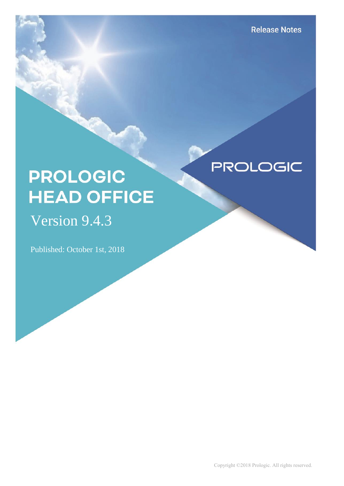**PROLOGIC** 

# **PROLOGIC HEAD OFFICE**

## Version 9.4.3

Published: October 1st, 2018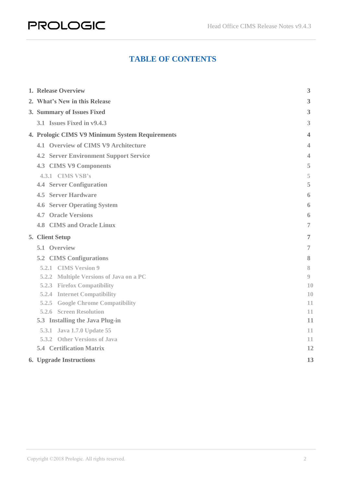#### **TABLE OF CONTENTS**

| 1. Release Overview                                        | 3        |
|------------------------------------------------------------|----------|
| 2. What's New in this Release                              | 3        |
| 3. Summary of Issues Fixed                                 | 3        |
| 3.1 Issues Fixed in v9.4.3                                 | 3        |
| 4. Prologic CIMS V9 Minimum System Requirements            | 4        |
| 4.1 Overview of CIMS V9 Architecture                       | 4        |
| <b>4.2 Server Environment Support Service</b>              | 4        |
| <b>4.3 CIMS V9 Components</b>                              | 5        |
| 4.3.1 CIMS VSB's                                           | 5        |
| <b>4.4 Server Configuration</b>                            | 5        |
| <b>4.5 Server Hardware</b>                                 | 6        |
| <b>4.6 Server Operating System</b>                         | 6        |
| <b>4.7 Oracle Versions</b>                                 | 6        |
| <b>4.8 CIMS and Oracle Linux</b>                           | 7        |
| 5. Client Setup                                            | 7        |
| 5.1 Overview                                               | 7        |
| <b>5.2 CIMS Configurations</b>                             | 8        |
| 5.2.1 CIMS Version 9                                       | 8        |
| 5.2.2 Multiple Versions of Java on a PC                    | 0        |
| <b>5.2.3 Firefox Compatibility</b>                         | 10       |
| <b>5.2.4 Internet Compatibility</b>                        | 10       |
| <b>5.2.5 Google Chrome Compatibility</b>                   | 11       |
| <b>5.2.6 Screen Resolution</b>                             | 11       |
| 5.3 Installing the Java Plug-in                            | 11       |
| 5.3.1 Java 1.7.0 Update 55<br>5.3.2 Other Versions of Java | 11       |
| <b>5.4 Certification Matrix</b>                            | 11<br>12 |
|                                                            |          |
| <b>6. Upgrade Instructions</b>                             | 13       |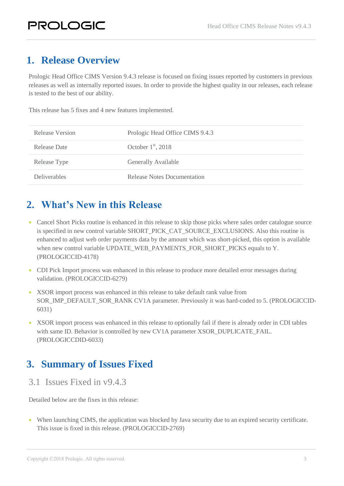## <span id="page-2-0"></span>**1. Release Overview**

Prologic Head Office CIMS Version 9.4.3 release is focused on fixing issues reported by customers in previous releases as well as internally reported issues. In order to provide the highest quality in our releases, each release is tested to the best of our ability.

This release has 5 fixes and 4 new features implemented.

| Release Version     | Prologic Head Office CIMS 9.4.3 |
|---------------------|---------------------------------|
| Release Date        | October $1st$ , 2018            |
| Release Type        | Generally Available             |
| <b>Deliverables</b> | Release Notes Documentation     |

### <span id="page-2-1"></span>**2. What's New in this Release**

- Cancel Short Picks routine is enhanced in this release to skip those picks where sales order catalogue source is specified in new control variable SHORT\_PICK\_CAT\_SOURCE\_EXCLUSIONS. Also this routine is enhanced to adjust web order payments data by the amount which was short-picked, this option is available when new control variable UPDATE\_WEB\_PAYMENTS\_FOR\_SHORT\_PICKS equals to Y. (PROLOGICCID-4178)
- CDI Pick Import process was enhanced in this release to produce more detailed error messages during validation. (PROLOGICCID-6279)
- XSOR import process was enhanced in this release to take default rank value from SOR\_IMP\_DEFAULT\_SOR\_RANK CV1A parameter. Previously it was hard-coded to 5. (PROLOGICCID-6031)
- XSOR import process was enhanced in this release to optionally fail if there is already order in CDI tables with same ID. Behavior is controlled by new CV1A parameter XSOR\_DUPLICATE\_FAIL. (PROLOGICCDID-6033)

## <span id="page-2-2"></span>**3. Summary of Issues Fixed**

<span id="page-2-3"></span>3.1 Issues Fixed in v9.4.3

Detailed below are the fixes in this release:

 When launching CIMS, the application was blocked by Java security due to an expired security certificate. This issue is fixed in this release. (PROLOGICCID-2769)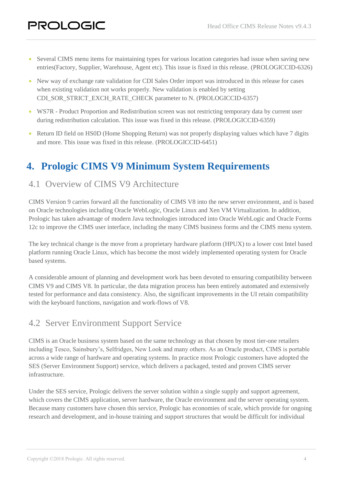- Several CIMS menu items for maintaining types for various location categories had issue when saving new entries(Factory, Supplier, Warehouse, Agent etc). This issue is fixed in this release. (PROLOGICCID-6326)
- New way of exchange rate validation for CDI Sales Order import was introduced in this release for cases when existing validation not works properly. New validation is enabled by setting CDI\_SOR\_STRICT\_EXCH\_RATE\_CHECK parameter to N. (PROLOGICCID-6357)
- WS7R Product Proportion and Redistribution screen was not restricting temporary data by current user during redistribution calculation. This issue was fixed in this release. (PROLOGICCID-6359)
- Return ID field on HS0D (Home Shopping Return) was not properly displaying values which have 7 digits and more. This issue was fixed in this release. (PROLOGICCID-6451)

## <span id="page-3-0"></span>**4. Prologic CIMS V9 Minimum System Requirements**

#### <span id="page-3-1"></span>4.1 Overview of CIMS V9 Architecture

CIMS Version 9 carries forward all the functionality of CIMS V8 into the new server environment, and is based on Oracle technologies including Oracle WebLogic, Oracle Linux and Xen VM Virtualization. In addition, Prologic has taken advantage of modern Java technologies introduced into Oracle WebLogic and Oracle Forms 12c to improve the CIMS user interface, including the many CIMS business forms and the CIMS menu system.

The key technical change is the move from a proprietary hardware platform (HPUX) to a lower cost Intel based platform running Oracle Linux, which has become the most widely implemented operating system for Oracle based systems.

A considerable amount of planning and development work has been devoted to ensuring compatibility between CIMS V9 and CIMS V8. In particular, the data migration process has been entirely automated and extensively tested for performance and data consistency. Also, the significant improvements in the UI retain compatibility with the keyboard functions, navigation and work-flows of V8.

#### <span id="page-3-2"></span>4.2 Server Environment Support Service

CIMS is an Oracle business system based on the same technology as that chosen by most tier-one retailers including Tesco, Sainsbury's, Selfridges, New Look and many others. As an Oracle product, CIMS is portable across a wide range of hardware and operating systems. In practice most Prologic customers have adopted the SES (Server Environment Support) service, which delivers a packaged, tested and proven CIMS server infrastructure.

Under the SES service, Prologic delivers the server solution within a single supply and support agreement, which covers the CIMS application, server hardware, the Oracle environment and the server operating system. Because many customers have chosen this service, Prologic has economies of scale, which provide for ongoing research and development, and in-house training and support structures that would be difficult for individual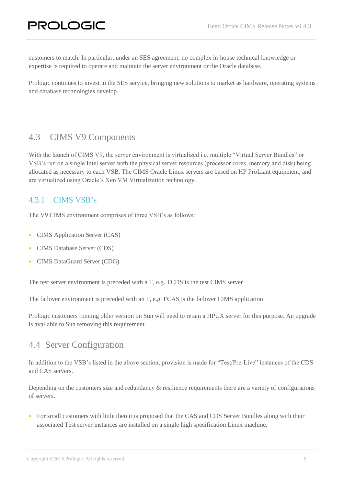customers to match. In particular, under an SES agreement, no complex in-house technical knowledge or expertise is required to operate and maintain the server environment or the Oracle database.

Prologic continues to invest in the SES service, bringing new solutions to market as hardware, operating systems and database technologies develop.

#### <span id="page-4-0"></span>4.3 CIMS V9 Components

With the launch of CIMS V9, the server environment is virtualized i.e. multiple "Virtual Server Bundles" or VSB's run on a single Intel server with the physical server resources (processor cores, memory and disk) being allocated as necessary to each VSB. The CIMS Oracle Linux servers are based on HP ProLiant equipment, and are virtualized using Oracle's Xen VM Virtualization technology.

#### <span id="page-4-1"></span>4.3.1 CIMS VSB's

The V9 CIMS environment comprises of three VSB's as follows:

- CIMS Application Server (CAS)
- CIMS Database Server (CDS)
- CIMS DataGuard Server (CDG)

The test server environment is preceded with a T, e.g. TCDS is the test CIMS server

The failover environment is preceded with an F, e.g. FCAS is the failover CIMS application

Prologic customers running older version on Sun will need to retain a HPUX server for this purpose. An upgrade is available to Sun removing this requirement.

#### <span id="page-4-2"></span>4.4 Server Configuration

In addition to the VSB's listed in the above section, provision is made for "Test/Pre-Live" instances of the CDS and CAS servers.

Depending on the customers size and redundancy & resilience requirements there are a variety of configurations of servers.

• For small customers with little then it is proposed that the CAS and CDS Server Bundles along with their associated Test server instances are installed on a single high specification Linux machine.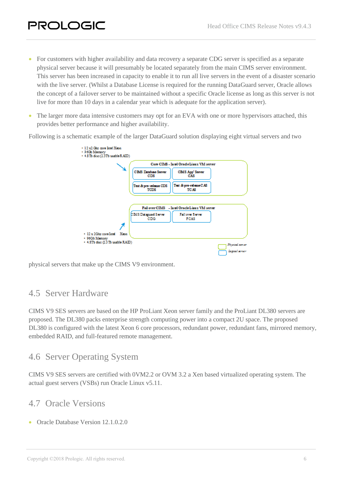- For customers with higher availability and data recovery a separate CDG server is specified as a separate physical server because it will presumably be located separately from the main CIMS server environment. This server has been increased in capacity to enable it to run all live servers in the event of a disaster scenario with the live server. (Whilst a Database License is required for the running DataGuard server, Oracle allows the concept of a failover server to be maintained without a specific Oracle license as long as this server is not live for more than 10 days in a calendar year which is adequate for the application server).
- The larger more data intensive customers may opt for an EVA with one or more hypervisors attached, this provides better performance and higher availability.

Following is a schematic example of the larger DataGuard solution displaying eight virtual servers and two

| $-12 \times 2$ Car core latel Xeon<br>• 96Gb Mormery<br>+ 4.8 To disc (2.3 To usable R.AID) |                                    |                                                |                                          |
|---------------------------------------------------------------------------------------------|------------------------------------|------------------------------------------------|------------------------------------------|
|                                                                                             |                                    | Core CIMS - Intel OradeLinux VM server         |                                          |
|                                                                                             | <b>CIMS Database Server</b><br>CDS | CIMS App' Server<br>CAS                        |                                          |
|                                                                                             | Test & pre-selease CDS<br>TCDS     | Test & pro-release CAS<br>TC AS                |                                          |
|                                                                                             |                                    | Fail over CIMS - In tel Oracle Linux VM server |                                          |
|                                                                                             | CIMS Dataguard Server<br>CDG       | Fall over Server<br>FCAS                       |                                          |
|                                                                                             |                                    |                                                |                                          |
| • 12 x 2Ghz coro Intel Xcon<br>• 96Gb Memory                                                |                                    |                                                |                                          |
| + 4.8Tb disc (2.3 Tb usable RAID)                                                           |                                    |                                                | Physical server<br><b>Logical</b> server |

physical servers that make up the CIMS V9 environment.

#### <span id="page-5-0"></span>4.5 Server Hardware

CIMS V9 SES servers are based on the HP ProLiant Xeon server family and the ProLiant DL380 servers are proposed. The DL380 packs enterprise strength computing power into a compact 2U space. The proposed DL380 is configured with the latest Xeon 6 core processors, redundant power, redundant fans, mirrored memory, embedded RAID, and full-featured remote management.

#### <span id="page-5-1"></span>4.6 Server Operating System

CIMS V9 SES servers are certified with 0VM2.2 or OVM 3.2 a Xen based virtualized operating system. The actual guest servers (VSBs) run Oracle Linux v5.11.

#### <span id="page-5-2"></span>4.7 Oracle Versions

**Oracle Database Version 12.1.0.2.0**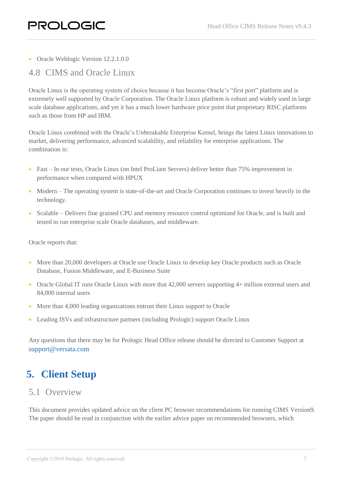• Oracle Weblogic Version 12.2.1.0.0

#### <span id="page-6-0"></span>4.8 CIMS and Oracle Linux

Oracle Linux is the operating system of choice because it has become Oracle's "first port" platform and is extremely well supported by Oracle Corporation. The Oracle Linux platform is robust and widely used in large scale database applications, and yet it has a much lower hardware price point that proprietary RISC platforms such as those from HP and IBM.

Oracle Linux combined with the Oracle's Unbreakable Enterprise Kernel, brings the latest Linux innovations to market, delivering performance, advanced scalability, and reliability for enterprise applications. The combination is:

- Fast In our tests, Oracle Linux (on Intel ProLiant Servers) deliver better than 75% improvement in performance when compared with HPUX
- Modern The operating system is state-of-the-art and Oracle Corporation continues to invest heavily in the technology.
- Scalable Delivers fine grained CPU and memory resource control optimized for Oracle, and is built and tested to run enterprise scale Oracle databases, and middleware.

Oracle reports that:

- More than 20,000 developers at Oracle use Oracle Linux to develop key Oracle products such as Oracle Database, Fusion Middleware, and E-Business Suite
- Oracle Global IT runs Oracle Linux with more that 42,000 servers supporting 4+ million external users and 84,000 internal users
- More than 4,000 leading organizations entrust their Linux support to Oracle
- Leading ISVs and infrastructure partners (including Prologic) support Oracle Linux

Any questions that there may be for Prologic Head Office release should be directed to Customer Support at [support@versata.com](mailto:support@versata.com)

## <span id="page-6-1"></span>**5. Client Setup**

#### <span id="page-6-2"></span>5.1 Overview

This document provides updated advice on the client PC browser recommendations for running CIMS Version9. The paper should be read in conjunction with the earlier advice paper on recommended browsers, which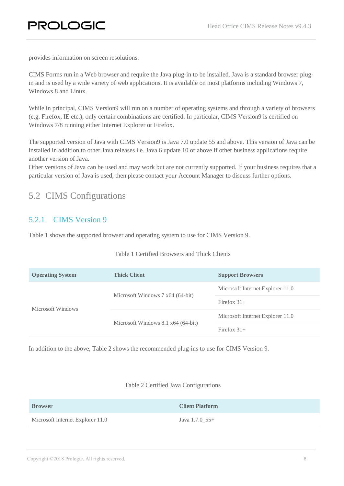provides information on screen resolutions.

CIMS Forms run in a Web browser and require the Java plug-in to be installed. Java is a standard browser plugin and is used by a wide variety of web applications. It is available on most platforms including Windows 7, Windows 8 and Linux.

While in principal, CIMS Version9 will run on a number of operating systems and through a variety of browsers (e.g. Firefox, IE etc.), only certain combinations are certified. In particular, CIMS Version9 is certified on Windows 7/8 running either Internet Explorer or Firefox.

The supported version of Java with CIMS Version9 is Java 7.0 update 55 and above. This version of Java can be installed in addition to other Java releases i.e. Java 6 update 10 or above if other business applications require another version of Java.

Other versions of Java can be used and may work but are not currently supported. If your business requires that a particular version of Java is used, then please contact your Account Manager to discuss further options.

#### <span id="page-7-0"></span>5.2 CIMS Configurations

#### <span id="page-7-1"></span>5.2.1 CIMS Version 9

Table 1 shows the supported browser and operating system to use for CIMS Version 9.

|  | Table 1 Certified Browsers and Thick Clients |  |  |
|--|----------------------------------------------|--|--|
|  |                                              |  |  |

| <b>Operating System</b> | <b>Thick Client</b>                        | <b>Support Browsers</b>          |
|-------------------------|--------------------------------------------|----------------------------------|
|                         | Microsoft Windows 7 x64 (64-bit)           | Microsoft Internet Explorer 11.0 |
| Microsoft Windows       |                                            | Firefox $31+$                    |
|                         | Microsoft Windows $8.1 \times 64$ (64-bit) | Microsoft Internet Explorer 11.0 |
|                         |                                            | Firefox $31+$                    |

In addition to the above, Table 2 shows the recommended plug-ins to use for CIMS Version 9.

#### Table 2 Certified Java Configurations

| <b>Browser</b>                   | <b>Client Platform</b> |
|----------------------------------|------------------------|
| Microsoft Internet Explorer 11.0 | Java $1.7.0$ 55+       |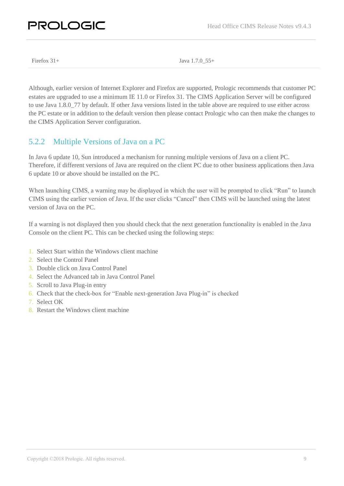## PROLOGIC

Firefox 31+ Java 1.7.0 55+

Although, earlier version of Internet Explorer and Firefox are supported, Prologic recommends that customer PC estates are upgraded to use a minimum IE 11.0 or Firefox 31. The CIMS Application Server will be configured to use Java 1.8.0\_77 by default. If other Java versions listed in the table above are required to use either across the PC estate or in addition to the default version then please contact Prologic who can then make the changes to the CIMS Application Server configuration.

#### <span id="page-8-0"></span>5.2.2 Multiple Versions of Java on a PC

In Java 6 update 10, Sun introduced a mechanism for running multiple versions of Java on a client PC. Therefore, if different versions of Java are required on the client PC due to other business applications then Java 6 update 10 or above should be installed on the PC.

When launching CIMS, a warning may be displayed in which the user will be prompted to click "Run" to launch CIMS using the earlier version of Java. If the user clicks "Cancel" then CIMS will be launched using the latest version of Java on the PC.

If a warning is not displayed then you should check that the next generation functionality is enabled in the Java Console on the client PC. This can be checked using the following steps:

- 1. Select Start within the Windows client machine
- 2. Select the Control Panel
- 3. Double click on Java Control Panel
- 4. Select the Advanced tab in Java Control Panel
- 5. Scroll to Java Plug-in entry
- 6. Check that the check-box for "Enable next-generation Java Plug-in" is checked
- 7. Select OK
- 8. Restart the Windows client machine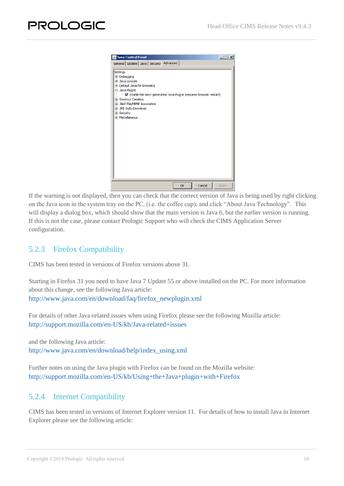If the warning is not displayed, then you can check that the correct version of Java is being used by right clicking on the Java icon in the system tray on the PC, (i.e. the coffee cup), and click "About Java Technology". This will display a dialog box, which should show that the main version is Java 6, but the earlier version is running. If this is not the case, please contact Prologic Support who will check the CIMS Application Server configuration.

#### <span id="page-9-0"></span>5.2.3 Firefox Compatibility

CIMS has been tested in versions of Firefox versions above 31.

Starting in Firefox 31 you need to have Java 7 Update 55 or above installed on the PC. For more information about this change, see the following Java article: [http://www.java.com/en/download/faq/firefox\\_newplugin.xml](http://www.java.com/en/download/faq/firefox_newplugin.xml)

For details of other Java-related issues when using Firefox please see the following Mozilla article: [http://support.mozilla.com/en-US/kb/Java-related+issues](https://support.mozilla.com/en-US/kb/Java-related%20issues)

and the following Java article: [http://www.java.com/en/download/help/index\\_using.xml](http://www.java.com/en/download/help/index_using.xml)

Further notes on using the Java plugin with Firefox can be found on the Mozilla website: <http://support.mozilla.com/en-US/kb/Using+the+Java+plugin+with+Firefox>

#### <span id="page-9-1"></span>5.2.4 Internet Compatibility

CIMS has been tested in versions of Internet Explorer version 11. For details of how to install Java in Internet Explorer please see the following article: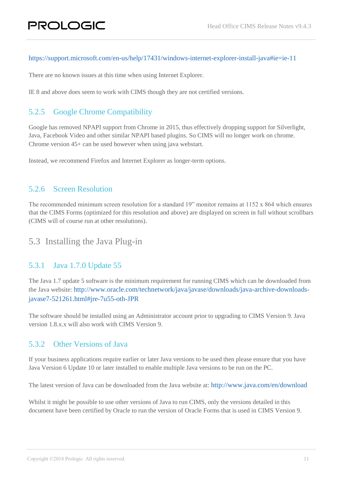#### <https://support.microsoft.com/en-us/help/17431/windows-internet-explorer-install-java#ie=ie-11>

There are no known issues at this time when using Internet Explorer.

IE 8 and above does seem to work with CIMS though they are not certified versions.

#### <span id="page-10-0"></span>5.2.5 Google Chrome Compatibility

Google has removed NPAPI support from Chrome in 2015, thus effectively dropping support for Silverlight, Java, Facebook Video and other similar NPAPI based plugins. So CIMS will no longer work on chrome. Chrome version 45+ can be used however when using java webstart.

Instead, we recommend Firefox and Internet Explorer as longer-term options.

#### <span id="page-10-1"></span>5.2.6 Screen Resolution

The recommended minimum screen resolution for a standard 19" monitor remains at 1152 x 864 which ensures that the CIMS Forms (optimized for this resolution and above) are displayed on screen in full without scrollbars (CIMS will of course run at other resolutions).

#### <span id="page-10-2"></span>5.3 Installing the Java Plug-in

#### <span id="page-10-3"></span>5.3.1 Java 1.7.0 Update 55

The Java 1.7 update 5 software is the minimum requirement for running CIMS which can be downloaded from the Java website: [http://www.oracle.com/technetwork/java/javase/downloads/java-archive-downloads](http://www.oracle.com/technetwork/java/javase/downloads/java-archive-downloads-javase7-521261.html#jre-7u55-oth-JPR)[javase7-521261.html#jre-7u55-oth-JPR](http://www.oracle.com/technetwork/java/javase/downloads/java-archive-downloads-javase7-521261.html#jre-7u55-oth-JPR)

The software should be installed using an Administrator account prior to upgrading to CIMS Version 9. Java version 1.8.x.x will also work with CIMS Version 9.

#### <span id="page-10-4"></span>5.3.2 Other Versions of Java

If your business applications require earlier or later Java versions to be used then please ensure that you have Java Version 6 Update 10 or later installed to enable multiple Java versions to be run on the PC.

The latest version of Java can be downloaded from the Java website at: <http://www.java.com/en/download>

Whilst it might be possible to use other versions of Java to run CIMS, only the versions detailed in this document have been certified by Oracle to run the version of Oracle Forms that is used in CIMS Version 9.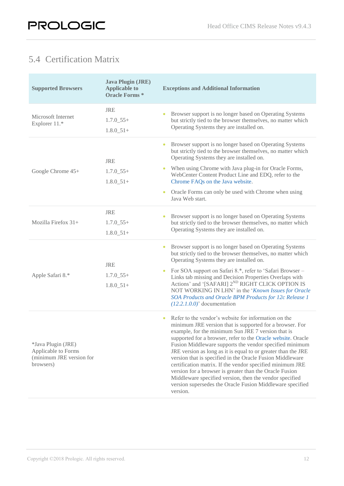## <span id="page-11-0"></span>5.4 Certification Matrix

| <b>Supported Browsers</b>                                                          | <b>Java Plugin (JRE)</b><br><b>Applicable to</b><br><b>Oracle Forms*</b> | <b>Exceptions and Additional Information</b>                                                                                                                                                                                                                                                                                                                                                                                                                                                                                                                                                                                                                                                             |
|------------------------------------------------------------------------------------|--------------------------------------------------------------------------|----------------------------------------------------------------------------------------------------------------------------------------------------------------------------------------------------------------------------------------------------------------------------------------------------------------------------------------------------------------------------------------------------------------------------------------------------------------------------------------------------------------------------------------------------------------------------------------------------------------------------------------------------------------------------------------------------------|
| Microsoft Internet<br>Explorer 11.*                                                | <b>JRE</b><br>$1.7.0\_55+$<br>$1.8.0\_51+$                               | Browser support is no longer based on Operating Systems<br>but strictly tied to the browser themselves, no matter which<br>Operating Systems they are installed on.                                                                                                                                                                                                                                                                                                                                                                                                                                                                                                                                      |
| Google Chrome 45+                                                                  | <b>JRE</b><br>$1.7.0\_55+$<br>$1.8.0 - 51 +$                             | Browser support is no longer based on Operating Systems<br>but strictly tied to the browser themselves, no matter which<br>Operating Systems they are installed on.<br>When using Chrome with Java plug-in for Oracle Forms,<br>WebCenter Content Product Line and EDQ, refer to the<br>Chrome FAQs on the Java website.<br>Oracle Forms can only be used with Chrome when using<br>$\bullet$<br>Java Web start.                                                                                                                                                                                                                                                                                         |
| Mozilla Firefox $31+$                                                              | <b>JRE</b><br>$1.7.0\_55+$<br>$1.8.0 - 51 +$                             | Browser support is no longer based on Operating Systems<br>but strictly tied to the browser themselves, no matter which<br>Operating Systems they are installed on.                                                                                                                                                                                                                                                                                                                                                                                                                                                                                                                                      |
| Apple Safari 8.*                                                                   | <b>JRE</b><br>$1.7.0\_55+$<br>$1.8.0\_51+$                               | Browser support is no longer based on Operating Systems<br>but strictly tied to the browser themselves, no matter which<br>Operating Systems they are installed on.<br>For SOA support on Safari 8.*, refer to 'Safari Browser -<br>Links tab missing and Decision Properties Overlaps with<br>Actions' and '[SAFARI] 2 <sup>ND</sup> RIGHT CLICK OPTION IS<br>NOT WORKING IN LHN' in the 'Known Issues for Oracle<br>SOA Products and Oracle BPM Products for 12c Release 1<br>$(12.2.1.0.0)$ ' documentation                                                                                                                                                                                           |
| *Java Plugin (JRE)<br>Applicable to Forms<br>(minimum JRE version for<br>browsers) |                                                                          | Refer to the vendor's website for information on the<br>$\bullet$<br>minimum JRE version that is supported for a browser. For<br>example, for the minimum Sun JRE 7 version that is<br>supported for a browser, refer to the Oracle website. Oracle<br>Fusion Middleware supports the vendor specified minimum<br>JRE version as long as it is equal to or greater than the JRE<br>version that is specified in the Oracle Fusion Middleware<br>certification matrix. If the vendor specified minimum JRE<br>version for a browser is greater than the Oracle Fusion<br>Middleware specified version, then the vendor specified<br>version supersedes the Oracle Fusion Middleware specified<br>version. |